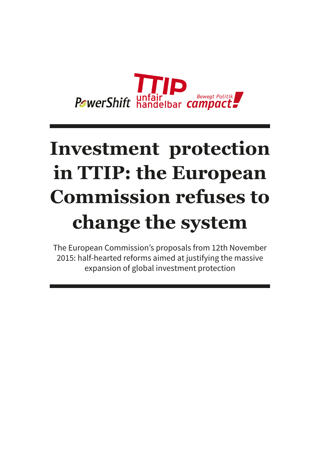

## **Investment protection in TTIP: the European Commission refuses to change the system**

The European Commission's proposals from 12th November 2015: half-hearted reforms aimed at justifying the massive expansion of global investment protection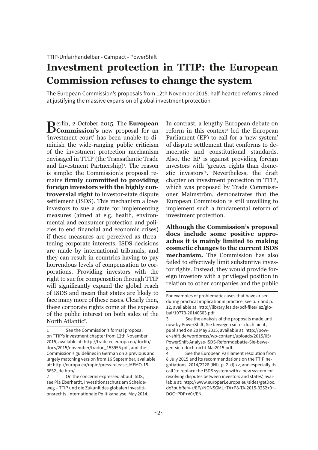## **Investment protection in TTIP: the European Commission refuses to change the system**

The European Commission's proposals from 12th November 2015: half-hearted reforms aimed at justifying the massive expansion of global investment protection

**Berlin, 2 October 2015. The European Commission's** new proposal for an 'investment court' has been unable to diminish the wide-ranging public criticism of the investment protection mechanism envisaged in TTIP (the Transatlantic Trade and Investment Partnership)<sup>1</sup>. The reason is simple: the Commission's proposal remains **firmly committed to providing foreign investors with the highly controversial right** to investor-state dispute settlement (ISDS). This mechanism allows investors to sue a state for implementing measures (aimed at e.g. health, environmental and consumer protection and policies to end financial and economic crises) if these measures are perceived as threatening corporate interests. ISDS decisions are made by international tribunals, and they can result in countries having to pay horrendous levels of compensation to corporations. Providing investors with the right to sue for compensation through TTIP will significantly expand the global reach of ISDS and mean that states are likely to face many more of these cases. Clearly then, these corporate rights come at the expense of the public interest on both sides of the North Atlantic<sup>2</sup>.

In contrast, a lengthy European debate on reform in this context<sup>3</sup> led the European Parliament (EP) to call for a 'new system' of dispute settlement that conforms to democratic and constitutional standards. Also, the EP is against providing foreign investors with 'greater rights than domestic investors'4 . Nevertheless, the draft chapter on investment protection in TTIP, which was proposed by Trade Commissioner Malmström, demonstrates that the European Commission is still unwilling to implement such a fundamental reform of investment protection.

**Although the Commission's proposal does include some positive approaches it is mainly limited to making cosmetic changes to the current ISDS mechanism.** The Commission has also failed to effectively limit substantive investor rights. Instead, they would provide foreign investors with a privileged position in relation to other companies and the public

<sup>1</sup> See the Commission's formal proposal on TTIP's investment chapter from 12th November 2015, available at: http://trade.ec.europa.eu/doclib/ docs/2015/november/tradoc\_153955.pdf, and the Commission's guidelines in German on a previous and largely matching version from 16 September, available at: http://europa.eu/rapid/press-release\_MEMO-15- 5652\_de.htm/.

<sup>2</sup> On the concerns expressed about ISDS, see Pia Eberhardt, Investitionsschutz am Scheideweg – TTIP und die Zukunft des globalen Investitionsrechts, Internationale Politikanalyse, May 2014.

For examples of problematic cases that have arisen during practical implicationin practice, see p. 7 and p. 12, available at: http://library.fes.de/pdf-files/iez/global/10773-20140603.pdf.

<sup>3</sup> See the analysis of the proposals made until now by PowerShift, Sie bewegen sich – doch nicht, published on 20 May 2015, available at: http://power-shift.de/wordpress/wp-content/uploads/2015/05/ PowerShift-Analyse-ISDS-Reformdebatte-Sie-bewegen-sich-doch-nicht-Mai2015.pdf.

<sup>4</sup> See the European Parliament resolution from 8 July 2015 and its recommendations on the TTIP negotiations, 2014/2228 (INI). p. 2. d) xv, and especially its call 'to replace the ISDS system with a new system for resolving disputes between investors and states', available at: http://www.europarl.europa.eu/sides/getDoc. do?pubRef=-//EP//NONSGML+TA+P8-TA-2015-0252+0+- DOC+PDF+V0//EN.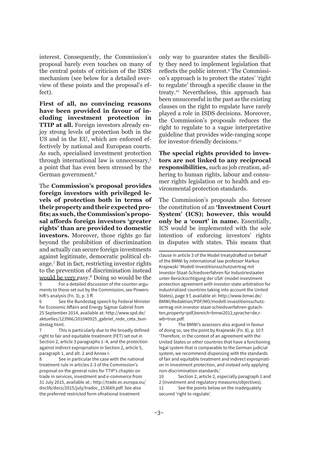interest. Consequently, the Commission's proposal barely even touches on many of the central points of criticism of the ISDS mechanism (see below for a detailed overview of these points and the proposal's effect).

**First of all, no convincing reasons have been provided in favour of including investment protection in TTIP at all.** Foreign investors already enjoy strong levels of protection both in the US and in the EU, which are enforced effectively by national and European courts. As such, specialised investment protection through international law is unnecessary,5 a point that has even been stressed by the German government.6

The **Commission's proposal provides foreign investors with privileged levels of protection both in terms of their property and their expected profits; as such, the Commission's proposal affords foreign investors 'greater rights' than are provided to domestic investors.** Moreover, those rights go far beyond the prohibition of discrimination and actually can secure foreign investments against legitimate, democratic political change.7 But in fact, restricting investor rights to the prevention of discrimination instead would be very easy.8 Doing so would be the

5 For a detailed discussion of the counter-arguments to those set out by the Commission, see Powershift's analysis (Fn. 3), p. 3 ff.

6 See the Bundestag speech by Federal Minister for Economic Affairs and Energy Sigmar Gabriel from 25 September 2014, available at: http://www.spd.de/ aktuelles/123966/201040925\_gabriel\_rede\_ceta\_bundestag.html.

7 This is particularly due to the broadly defined right to fair and equitable treatment (FET) set out in Section 2, article 3 paragraphs 1–4, and the protection against indirect expropriation in Section 2, article 5, paragraph 1, and alt. 2 and Annex I.

8 See in particular the case with the national treatment rule in articles 2-3 of the Commission's proposal on the general rules for TTIP's chapter on trade in services, investment and e-commerce from 31 July 2015, available at.: http://trade.ec.europa.eu/ doclib/docs/2015/july/tradoc\_153669.pdf. See also the preferred restricted form ofnational treatment

only way to guarantee states the flexibility they need to implement legislation that reflects the public interest.<sup>9</sup> The Commission's approach is to protect the states' 'right to regulate' through a specific clause in the treaty.10 Nevertheless, this approach has been unsuccessful in the past as the existing clauses on the right to regulate have rarely played a role in ISDS decisions. Moreover, the Commission's proposals reduces the right to regulate to a vague interpretative guideline that provides wide-ranging scope for investor-friendly decisions.<sup>11</sup>

**The special rights provided to investors are not linked to any reciprocal responsibilities,** such as job creation, adhering to human rights, labour and consumer rights legislation or to health and environmental protection standards.

The Commission's proposals also foresee the constitution of an **'Investment Court System' (ICS); however, this would only be a 'court' in name.** Essentially, ICS would be implemented with the sole intention of enforcing investors' rights in disputes with states. This means that

10 Section 2, article 2, especially paragraph 1 and 2 (investment and regulatory measures/objectives).

11 See the points below on the inadequately secured 'right to regulate'.

clause in article 3 of the Model treatydrafted on behalf of the BMWi by international law professor Markus Krajewski 'Modell-Investitionsschutzvertrag mit Investor-Staat-Schiedsverfahren für Industriestaaten unter Berücksichtigung der USA' (model investment protection agreement with investor-state arbitration for industrialized countries taking into account the United States), page 9 f, available at: http://www.bmwi.de/ BMWi/Redaktion/PDF/MO/modell-investitionsschutzvertrag-mit-investor-staat-schiedsverfahren-gutachten,property=pdf,bereich=bmwi2012,sprache=de,rwb=true.pdf.

<sup>9</sup> The BMWi's assessors also argued in favour of doing so, see the point by Krajewski (Fn. 8), p. 10 f: 'Therefore, in the context of an agreement with the United States or other countries that have a functioning legal system that is comparable to the German judicial system, we recommend dispensing with the standards of fair and equitable treatment and indirect expropriation in investment protection, and instead only applying non-discrimination standards.'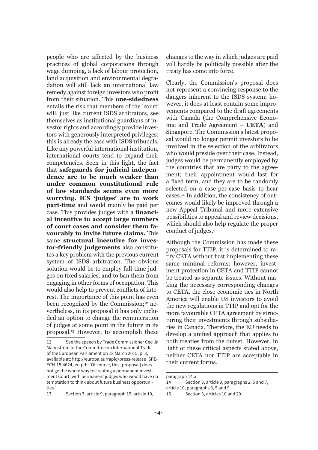people who are affected by the business practices of global corporations through wage dumping, a lack of labour protection, land acquisition and environmental degradation will still lack an international law remedy against foreign investors who profit from their situation. This **one-sidedness** entails the risk that members of the 'court' will, just like current ISDS arbitrators, see themselves as institutional guardians of investor rights and accordingly provide investors with generously interpreted privileges; this is already the case with ISDS tribunals. Like any powerful international institution, international courts tend to expand their competencies. Seen in this light, the fact that **safeguards for judicial independence are to be much weaker than under common constitutional rule of law standards seems even more worrying. ICS 'judges' are to work part-time** and would mainly be paid per case. This provides judges with a **financial incentive to accept large numbers of court cases and consider them favourably to invite future claims.** This same **structural incentive for investor-friendly judgements** also constitutes a key problem with the previous current system of ISDS arbitration. The obvious solution would be to employ full-time judges on fixed salaries, and to ban them from engaging in other forms of occupation. This would also help to prevent conflicts of interest. The importance of this point has even been recognized by the Commission;<sup>12</sup> nevertheless, in its proposal it has only included an option to change the remuneration of judges at some point in the future in its proposal.13 However, to accomplish these

changes to the way in which judges are paid will hardly be politically possible after the treaty has come into force.

Clearly, the Commission's proposal does not represent a convincing response to the dangers inherent to the ISDS system; however, it does at least contain some improvements compared to the draft agreements with Canada (the Comprehensive Economic and Trade Agreement – **CETA**) and Singapore. The Commission's latest proposal would no longer permit investors to be involved in the selection of the arbitrators who would preside over their case. Instead, judges would be permanently employed by the countries that are party to the agreement; their appointment would last for a fixed term, and they are to be randomly selected on a case-per-case basis to hear cases.14 In addition, the consistency of outcomes would likely be improved through a new Appeal Tribunal and more extensive possibilities to appeal and review decisions, which should also help regulate the proper conduct of judges.15

Although the Commission has made these proposals for TTIP, it is determined to ratify CETA without first implementing these same minimal reforms; however, investment protection in CETA and TTIP cannot be treated as separate issues. Without making the necessary corresponding changes to CETA, the close economic ties in North America will enable US investors to avoid the new regulations in TTIP and opt for the more favourable CETA agreement by structuring their investments through subsidiaries in Canada. Therefore, the EU needs to develop a unified approach that applies to both treaties from the outset. However, in light of these critical aspects stated above, neither CETA nor TTIP are acceptable in their current forms.

<sup>12</sup> See the speech by Trade Commissioner Cecilia Malmström to the Committee on International Trade of the European Parliament on 18 March 2015, p. 3, available at: http://europa.eu/rapid/press-release\_SPE-ECH-15-4624\_en.pdf: 'Of course, this [proposal] does not go the whole way to creating a permanent investment Court, with permanent judges who would have no temptation to think about future business opportunities.'

<sup>13</sup> Section 3, article 9, paragraph 15, article 10,

paragraph 14.a

<sup>14</sup> Section 3, article 9, paragraphs 2, 5 and 7, article 10, paragraphs 3, 5 and 9.

<sup>15</sup> Section 3, articles 10 and 29.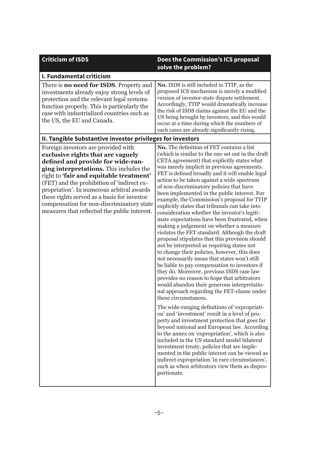| <b>Criticism of ISDS</b>                                                                                                                                                                                                                                                                                                                                                                                                                   | Does the Commission's ICS proposal<br>solve the problem?                                                                                                                                                                                                                                                                                                                                                                                                                                                                                                                                                                                                                                                                                                                                                                                                                                                                                                                                                                                                                                                                                                                                                                                                                                                                                                                                                                                                                                                                                                                                                                                                                          |  |
|--------------------------------------------------------------------------------------------------------------------------------------------------------------------------------------------------------------------------------------------------------------------------------------------------------------------------------------------------------------------------------------------------------------------------------------------|-----------------------------------------------------------------------------------------------------------------------------------------------------------------------------------------------------------------------------------------------------------------------------------------------------------------------------------------------------------------------------------------------------------------------------------------------------------------------------------------------------------------------------------------------------------------------------------------------------------------------------------------------------------------------------------------------------------------------------------------------------------------------------------------------------------------------------------------------------------------------------------------------------------------------------------------------------------------------------------------------------------------------------------------------------------------------------------------------------------------------------------------------------------------------------------------------------------------------------------------------------------------------------------------------------------------------------------------------------------------------------------------------------------------------------------------------------------------------------------------------------------------------------------------------------------------------------------------------------------------------------------------------------------------------------------|--|
| I. Fundamental criticism                                                                                                                                                                                                                                                                                                                                                                                                                   |                                                                                                                                                                                                                                                                                                                                                                                                                                                                                                                                                                                                                                                                                                                                                                                                                                                                                                                                                                                                                                                                                                                                                                                                                                                                                                                                                                                                                                                                                                                                                                                                                                                                                   |  |
| There is <b>no need for ISDS</b> . Property and<br>investments already enjoy strong levels of<br>protection and the relevant legal systems<br>function properly. This is particularly the<br>case with industrialized countries such as<br>the US, the EU and Canada.                                                                                                                                                                      | No. ISDS is still included in TTIP, as the<br>proposed ICS mechanism is merely a modified<br>version of investor-state dispute settlement.<br>Accordingly, TTIP would dramatically increase<br>the risk of ISDS claims against the EU and the<br>US being brought by investors, and this would<br>occur at a time during which the numbers of<br>such cases are already significantly rising.                                                                                                                                                                                                                                                                                                                                                                                                                                                                                                                                                                                                                                                                                                                                                                                                                                                                                                                                                                                                                                                                                                                                                                                                                                                                                     |  |
| II. Tangible Substantive investor privileges for investors                                                                                                                                                                                                                                                                                                                                                                                 |                                                                                                                                                                                                                                                                                                                                                                                                                                                                                                                                                                                                                                                                                                                                                                                                                                                                                                                                                                                                                                                                                                                                                                                                                                                                                                                                                                                                                                                                                                                                                                                                                                                                                   |  |
| Foreign investors are provided with<br>exclusive rights that are vaguely<br>defined and provide for wide-ran-<br>ging interpretations. This includes the<br>right to 'fair and equitable treatment'<br>(FET) and the prohibition of 'indirect ex-<br>propriation'. In numerous arbitral awards<br>these rights served as a basis for investor<br>compensation for non-discriminatory state<br>measures that reflected the public interest. | No. The definition of FET contains a list<br>(which is similar to the one set out in the draft<br>CETA agreement) that explicitly states what<br>was merely implicit in previous agreements.<br>FET is defined broadly and it will enable legal<br>action to be taken against a wide spectrum<br>of non-discriminatory policies that have<br>been implemented in the public interest. For<br>example, the Commission's proposal for TTIP<br>explicitly states that tribunals can take into<br>consideration whether the investor's legiti-<br>mate expectations have been frustrated, when<br>making a judgement on whether a measure<br>violates the FET standard. Although the draft<br>proposal stipulates that this provision should<br>not be interpreted as requiring states not<br>to change their policies, however, this does<br>not necessarily mean that states won't still<br>be liable to pay compensation to investors if<br>they do. Moreover, previous ISDS case law<br>provides no reason to hope that arbitrators<br>would abandon their generous interpretatio-<br>nal approach regarding the FET-clause under<br>these circumstances.<br>The wide-ranging definitions of 'expropriati-<br>on' and 'investment' result in a level of pro-<br>perty and investment protection that goes far<br>beyond national and European law. According<br>to the annex on 'expropriation', which is also<br>included in the US standard model bilateral<br>investment treaty, policies that are imple-<br>mented in the public interest can be viewed as<br>indirect expropriation 'in rare circumstances',<br>such as when arbitrators view them as dispro-<br>portionate. |  |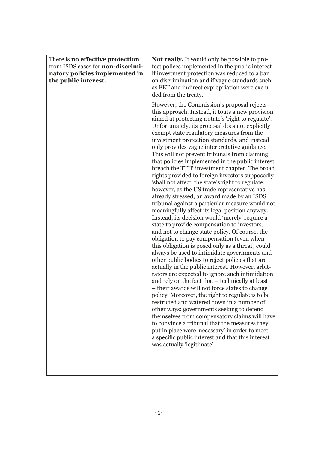| There is no effective protection<br>from ISDS cases for non-discrimi-<br>natory policies implemented in<br>the public interest. | <b>Not really.</b> It would only be possible to pro-<br>tect polices implemented in the public interest<br>if investment protection was reduced to a ban<br>on discrimination and if vague standards such<br>as FET and indirect expropriation were exclu-<br>ded from the treaty.                                                                                                                                                                                                                                                                                                                                                                                                                                                                                                                                                                                                                                                                                                                                                                                                                                                                                                                                                                                                                                                                                                                                                                                                                                                                                                                                                                                                                                                                                             |
|---------------------------------------------------------------------------------------------------------------------------------|--------------------------------------------------------------------------------------------------------------------------------------------------------------------------------------------------------------------------------------------------------------------------------------------------------------------------------------------------------------------------------------------------------------------------------------------------------------------------------------------------------------------------------------------------------------------------------------------------------------------------------------------------------------------------------------------------------------------------------------------------------------------------------------------------------------------------------------------------------------------------------------------------------------------------------------------------------------------------------------------------------------------------------------------------------------------------------------------------------------------------------------------------------------------------------------------------------------------------------------------------------------------------------------------------------------------------------------------------------------------------------------------------------------------------------------------------------------------------------------------------------------------------------------------------------------------------------------------------------------------------------------------------------------------------------------------------------------------------------------------------------------------------------|
|                                                                                                                                 | However, the Commission's proposal rejects<br>this approach. Instead, it touts a new provision<br>aimed at protecting a state's 'right to regulate'.<br>Unfortunately, its proposal does not explicitly<br>exempt state regulatory measures from the<br>investment protection standards, and instead<br>only provides vague interpretative guidance.<br>This will not prevent tribunals from claiming<br>that policies implemented in the public interest<br>breach the TTIP investment chapter. The broad<br>rights provided to foreign investors supposedly<br>'shall not affect' the state's right to regulate;<br>however, as the US trade representative has<br>already stressed, an award made by an ISDS<br>tribunal against a particular measure would not<br>meaningfully affect its legal position anyway.<br>Instead, its decision would 'merely' require a<br>state to provide compensation to investors,<br>and not to change state policy. Of course, the<br>obligation to pay compensation (even when<br>this obligation is posed only as a threat) could<br>always be used to intimidate governments and<br>other public bodies to reject policies that are<br>actually in the public interest. However, arbit-<br>rators are expected to ignore such intimidation<br>and rely on the fact that - technically at least<br>- their awards will not force states to change<br>policy. Moreover, the right to regulate is to be<br>restricted and watered down in a number of<br>other ways: governments seeking to defend<br>themselves from compensatory claims will have<br>to convince a tribunal that the measures they<br>put in place were 'necessary' in order to meet<br>a specific public interest and that this interest<br>was actually 'legitimate'. |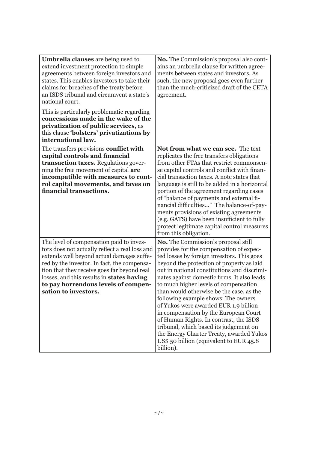| <b>Umbrella clauses</b> are being used to<br>extend investment protection to simple<br>agreements between foreign investors and<br>states. This enables investors to take their<br>claims for breaches of the treaty before<br>an ISDS tribunal and circumvent a state's<br>national court.<br>This is particularly problematic regarding<br>concessions made in the wake of the | <b>No.</b> The Commission's proposal also cont-<br>ains an umbrella clause for written agree-<br>ments between states and investors. As<br>such, the new proposal goes even further<br>than the much-criticized draft of the CETA<br>agreement.                                                                                                                                                                                                                                                                                                                                                                                                                                |
|----------------------------------------------------------------------------------------------------------------------------------------------------------------------------------------------------------------------------------------------------------------------------------------------------------------------------------------------------------------------------------|--------------------------------------------------------------------------------------------------------------------------------------------------------------------------------------------------------------------------------------------------------------------------------------------------------------------------------------------------------------------------------------------------------------------------------------------------------------------------------------------------------------------------------------------------------------------------------------------------------------------------------------------------------------------------------|
| privatization of public services, as<br>this clause 'bolsters' privatizations by<br>international law.                                                                                                                                                                                                                                                                           |                                                                                                                                                                                                                                                                                                                                                                                                                                                                                                                                                                                                                                                                                |
| The transfers provisions conflict with<br>capital controls and financial<br>transaction taxes. Regulations gover-<br>ning the free movement of capital are<br>incompatible with measures to cont-<br>rol capital movements, and taxes on<br>financial transactions.                                                                                                              | Not from what we can see. The text<br>replicates the free transfers obligations<br>from other FTAs that restrict commonsen-<br>se capital controls and conflict with finan-<br>cial transaction taxes. A note states that<br>language is still to be added in a horizontal<br>portion of the agreement regarding cases<br>of "balance of payments and external fi-<br>nancial difficulties" The balance-of-pay-<br>ments provisions of existing agreements<br>(e.g. GATS) have been insufficient to fully<br>protect legitimate capital control measures<br>from this obligation.                                                                                              |
| The level of compensation paid to inves-<br>tors does not actually reflect a real loss and<br>extends well beyond actual damages suffe-<br>red by the investor. In fact, the compensa-<br>tion that they receive goes far beyond real<br>losses, and this results in states having<br>to pay horrendous levels of compen-<br>sation to investors.                                | No. The Commission's proposal still<br>provides for the compensation of expec-<br>ted losses by foreign investors. This goes<br>beyond the protection of property as laid<br>out in national constitutions and discrimi-<br>nates against domestic firms. It also leads<br>to much higher levels of compensation<br>than would otherwise be the case, as the<br>following example shows: The owners<br>of Yukos were awarded EUR 1.9 billion<br>in compensation by the European Court<br>of Human Rights. In contrast, the ISDS<br>tribunal, which based its judgement on<br>the Energy Charter Treaty, awarded Yukos<br>US\$ 50 billion (equivalent to EUR 45.8)<br>billion). |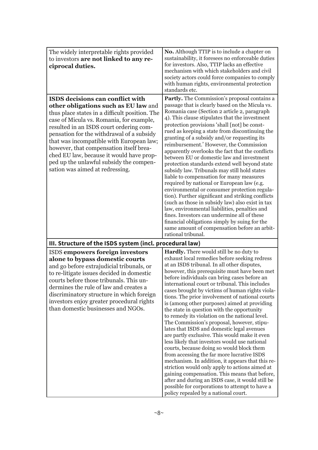| The widely interpretable rights provided<br>to investors are not linked to any re-<br>ciprocal duties.                                                                                                                                                                                                                                                                                                                                                                          | <b>No.</b> Although TTIP is to include a chapter on<br>sustainability, it foresees no enforceable duties<br>for investors. Also, TTIP lacks an effective<br>mechanism with which stakeholders and civil<br>society actors could force companies to comply<br>with human rights, environmental protection<br>standards etc.                                                                                                                                                                                                                                                                                                                                                                                                                                                                                                                                                                                                                                                                                                                                                                                                                     |
|---------------------------------------------------------------------------------------------------------------------------------------------------------------------------------------------------------------------------------------------------------------------------------------------------------------------------------------------------------------------------------------------------------------------------------------------------------------------------------|------------------------------------------------------------------------------------------------------------------------------------------------------------------------------------------------------------------------------------------------------------------------------------------------------------------------------------------------------------------------------------------------------------------------------------------------------------------------------------------------------------------------------------------------------------------------------------------------------------------------------------------------------------------------------------------------------------------------------------------------------------------------------------------------------------------------------------------------------------------------------------------------------------------------------------------------------------------------------------------------------------------------------------------------------------------------------------------------------------------------------------------------|
| ISDS decisions can conflict with<br>other obligations such as EU law and<br>thus place states in a difficult position. The<br>case of Micula vs. Romania, for example,<br>resulted in an ISDS court ordering com-<br>pensation for the withdrawal of a subsidy<br>that was incompatible with European law;<br>however, that compensation itself brea-<br>ched EU law, because it would have prop-<br>ped up the unlawful subsidy the compen-<br>sation was aimed at redressing. | Partly. The Commission's proposal contains a<br>passage that is clearly based on the Micula vs.<br>Romania case (Section 2 article 2, paragraph<br>4). This clause stipulates that the investment<br>protection provisions 'shall [not] be const-<br>rued as keeping a state from discontinuing the<br>granting of a subsidy and/or requesting its<br>reimbursement.' However, the Commission<br>apparently overlooks the fact that the conflicts<br>between EU or domestic law and investment<br>protection standards extend well beyond state<br>subsidy law. Tribunals may still hold states<br>liable to compensation for many measures<br>required by national or European law (e.g.<br>environmental or consumer protection regula-<br>tion). Further significant and striking conflicts<br>(such as those in subsidy law) also exist in tax<br>law, environmental liabilities, penalties and<br>fines. Investors can undermine all of these<br>financial obligations simply by suing for the<br>same amount of compensation before an arbit-<br>rational tribunal.                                                                      |
| III. Structure of the ISDS system (incl. procedural law)                                                                                                                                                                                                                                                                                                                                                                                                                        |                                                                                                                                                                                                                                                                                                                                                                                                                                                                                                                                                                                                                                                                                                                                                                                                                                                                                                                                                                                                                                                                                                                                                |
| ISDS empowers foreign investors<br>alone to bypass domestic courts<br>and go before extrajudicial tribunals, or<br>to re-litigate issues decided in domestic<br>courts before those tribunals. This un-<br>dermines the rule of law and creates a<br>discriminatory structure in which foreign<br>investors enjoy greater procedural rights<br>than domestic businesses and NGOs.                                                                                               | Hardly. There would still be no duty to<br>exhaust local remedies before seeking redress<br>at an ISDS tribunal. In all other disputes,<br>however, this prerequisite must have been met<br>before individuals can bring cases before an<br>international court or tribunal. This includes<br>cases brought by victims of human rights viola-<br>tions. The prior involvement of national courts<br>is (among other purposes) aimed at providing<br>the state in question with the opportunity<br>to remedy its violation on the national level.<br>The Commission's proposal, however, stipu-<br>lates that ISDS and domestic legal avenues<br>are partly exclusive. This would make it even<br>less likely that investors would use national<br>courts, because doing so would block them<br>from accessing the far more lucrative ISDS<br>mechanism. In addition, it appears that this re-<br>striction would only apply to actions aimed at<br>gaining compensation. This means that before,<br>after and during an ISDS case, it would still be<br>possible for corporations to attempt to have a<br>policy repealed by a national court. |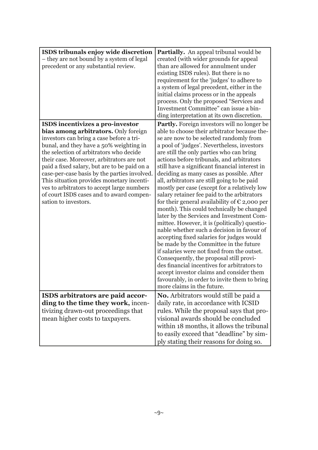| ISDS tribunals enjoy wide discretion<br>- they are not bound by a system of legal<br>precedent or any substantial review.                                                                                                                                                                                                                                                                                                                                                                                              | <b>Partially.</b> An appeal tribunal would be<br>created (with wider grounds for appeal<br>than are allowed for annulment under<br>existing ISDS rules). But there is no<br>requirement for the 'judges' to adhere to<br>a system of legal precedent, either in the<br>initial claims process or in the appeals<br>process. Only the proposed "Services and<br>Investment Committee" can issue a bin-<br>ding interpretation at its own discretion.                                                                                                                                                                                                                                                                                                                                                                                                                                                                                                                                                                                                                                                                                             |
|------------------------------------------------------------------------------------------------------------------------------------------------------------------------------------------------------------------------------------------------------------------------------------------------------------------------------------------------------------------------------------------------------------------------------------------------------------------------------------------------------------------------|-------------------------------------------------------------------------------------------------------------------------------------------------------------------------------------------------------------------------------------------------------------------------------------------------------------------------------------------------------------------------------------------------------------------------------------------------------------------------------------------------------------------------------------------------------------------------------------------------------------------------------------------------------------------------------------------------------------------------------------------------------------------------------------------------------------------------------------------------------------------------------------------------------------------------------------------------------------------------------------------------------------------------------------------------------------------------------------------------------------------------------------------------|
| ISDS incentivizes a pro-investor<br>bias among arbitrators. Only foreign<br>investors can bring a case before a tri-<br>bunal, and they have a 50% weighting in<br>the selection of arbitrators who decide<br>their case. Moreover, arbitrators are not<br>paid a fixed salary, but are to be paid on a<br>case-per-case basis by the parties involved.<br>This situation provides monetary incenti-<br>ves to arbitrators to accept large numbers<br>of court ISDS cases and to award compen-<br>sation to investors. | <b>Partly.</b> Foreign investors will no longer be<br>able to choose their arbitrator because the-<br>se are now to be selected randomly from<br>a pool of 'judges'. Nevertheless, investors<br>are still the only parties who can bring<br>actions before tribunals, and arbitrators<br>still have a significant financial interest in<br>deciding as many cases as possible. After<br>all, arbitrators are still going to be paid<br>mostly per case (except for a relatively low<br>salary retainer fee paid to the arbitrators<br>for their general availability of $\epsilon$ 2,000 per<br>month). This could technically be changed<br>later by the Services and Investment Com-<br>mittee. However, it is (politically) questio-<br>nable whether such a decision in favour of<br>accepting fixed salaries for judges would<br>be made by the Committee in the future<br>if salaries were not fixed from the outset.<br>Consequently, the proposal still provi-<br>des financial incentives for arbitrators to<br>accept investor claims and consider them<br>favourably, in order to invite them to bring<br>more claims in the future. |
| ISDS arbitrators are paid accor-<br>ding to the time they work, incen-<br>tivizing drawn-out proceedings that<br>mean higher costs to taxpayers.                                                                                                                                                                                                                                                                                                                                                                       | <b>No.</b> Arbitrators would still be paid a<br>daily rate, in accordance with ICSID<br>rules. While the proposal says that pro-<br>visional awards should be concluded<br>within 18 months, it allows the tribunal<br>to easily exceed that "deadline" by sim-<br>ply stating their reasons for doing so.                                                                                                                                                                                                                                                                                                                                                                                                                                                                                                                                                                                                                                                                                                                                                                                                                                      |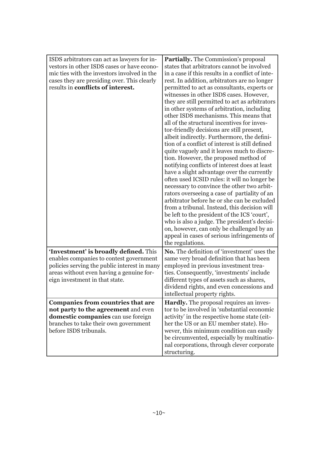| ISDS arbitrators can act as lawyers for in-<br>vestors in other ISDS cases or have econo-<br>mic ties with the investors involved in the<br>cases they are presiding over. This clearly<br>results in conflicts of interest. | <b>Partially.</b> The Commission's proposal<br>states that arbitrators cannot be involved<br>in a case if this results in a conflict of inte-<br>rest. In addition, arbitrators are no longer<br>permitted to act as consultants, experts or<br>witnesses in other ISDS cases. However,<br>they are still permitted to act as arbitrators<br>in other systems of arbitration, including<br>other ISDS mechanisms. This means that<br>all of the structural incentives for inves-<br>tor-friendly decisions are still present,<br>albeit indirectly. Furthermore, the defini-<br>tion of a conflict of interest is still defined<br>quite vaguely and it leaves much to discre-<br>tion. However, the proposed method of<br>notifying conflicts of interest does at least<br>have a slight advantage over the currently<br>often used ICSID rules: it will no longer be<br>necessary to convince the other two arbit-<br>rators overseeing a case of partiality of an<br>arbitrator before he or she can be excluded<br>from a tribunal. Instead, this decision will<br>be left to the president of the ICS 'court',<br>who is also a judge. The president's decisi-<br>on, however, can only be challenged by an<br>appeal in cases of serious infringements of<br>the regulations. |
|------------------------------------------------------------------------------------------------------------------------------------------------------------------------------------------------------------------------------|-------------------------------------------------------------------------------------------------------------------------------------------------------------------------------------------------------------------------------------------------------------------------------------------------------------------------------------------------------------------------------------------------------------------------------------------------------------------------------------------------------------------------------------------------------------------------------------------------------------------------------------------------------------------------------------------------------------------------------------------------------------------------------------------------------------------------------------------------------------------------------------------------------------------------------------------------------------------------------------------------------------------------------------------------------------------------------------------------------------------------------------------------------------------------------------------------------------------------------------------------------------------------------------|
| 'Investment' is broadly defined. This<br>enables companies to contest government<br>policies serving the public interest in many<br>areas without even having a genuine for-<br>eign investment in that state.               | No. The definition of 'investment' uses the<br>same very broad definition that has been<br>employed in previous investment trea-<br>ties. Consequently, 'investments' include<br>different types of assets such as shares,<br>dividend rights, and even concessions and<br>intellectual property rights.                                                                                                                                                                                                                                                                                                                                                                                                                                                                                                                                                                                                                                                                                                                                                                                                                                                                                                                                                                            |
| <b>Companies from countries that are</b><br>not party to the agreement and even<br>domestic companies can use foreign<br>branches to take their own government<br>before ISDS tribunals.                                     | <b>Hardly.</b> The proposal requires an inves-<br>tor to be involved in 'substantial economic<br>activity' in the respective home state (eit-<br>her the US or an EU member state). Ho-<br>wever, this minimum condition can easily<br>be circumvented, especially by multinatio-<br>nal corporations, through clever corporate                                                                                                                                                                                                                                                                                                                                                                                                                                                                                                                                                                                                                                                                                                                                                                                                                                                                                                                                                     |
|                                                                                                                                                                                                                              | structuring.                                                                                                                                                                                                                                                                                                                                                                                                                                                                                                                                                                                                                                                                                                                                                                                                                                                                                                                                                                                                                                                                                                                                                                                                                                                                        |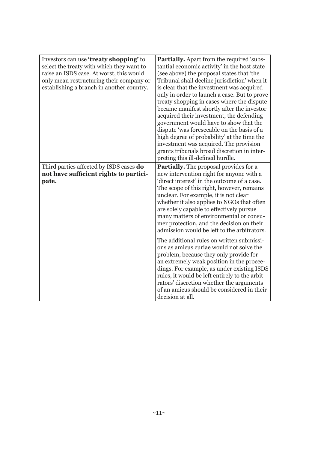| Investors can use 'treaty shopping' to<br>select the treaty with which they want to<br>raise an ISDS case. At worst, this would<br>only mean restructuring their company or<br>establishing a branch in another country. | <b>Partially.</b> Apart from the required 'subs-<br>tantial economic activity' in the host state<br>(see above) the proposal states that 'the<br>Tribunal shall decline jurisdiction' when it<br>is clear that the investment was acquired<br>only in order to launch a case. But to prove<br>treaty shopping in cases where the dispute<br>became manifest shortly after the investor<br>acquired their investment, the defending<br>government would have to show that the<br>dispute 'was foreseeable on the basis of a<br>high degree of probability' at the time the<br>investment was acquired. The provision<br>grants tribunals broad discretion in inter-<br>preting this ill-defined hurdle.                                                                                                                                                        |
|--------------------------------------------------------------------------------------------------------------------------------------------------------------------------------------------------------------------------|---------------------------------------------------------------------------------------------------------------------------------------------------------------------------------------------------------------------------------------------------------------------------------------------------------------------------------------------------------------------------------------------------------------------------------------------------------------------------------------------------------------------------------------------------------------------------------------------------------------------------------------------------------------------------------------------------------------------------------------------------------------------------------------------------------------------------------------------------------------|
| Third parties affected by ISDS cases do<br>not have sufficient rights to partici-<br>pate.                                                                                                                               | <b>Partially.</b> The proposal provides for a<br>new intervention right for anyone with a<br>'direct interest' in the outcome of a case.<br>The scope of this right, however, remains<br>unclear. For example, it is not clear<br>whether it also applies to NGOs that often<br>are solely capable to effectively pursue<br>many matters of environmental or consu-<br>mer protection, and the decision on their<br>admission would be left to the arbitrators.<br>The additional rules on written submissi-<br>ons as amicus curiae would not solve the<br>problem, because they only provide for<br>an extremely weak position in the procee-<br>dings. For example, as under existing ISDS<br>rules, it would be left entirely to the arbit-<br>rators' discretion whether the arguments<br>of an amicus should be considered in their<br>decision at all. |